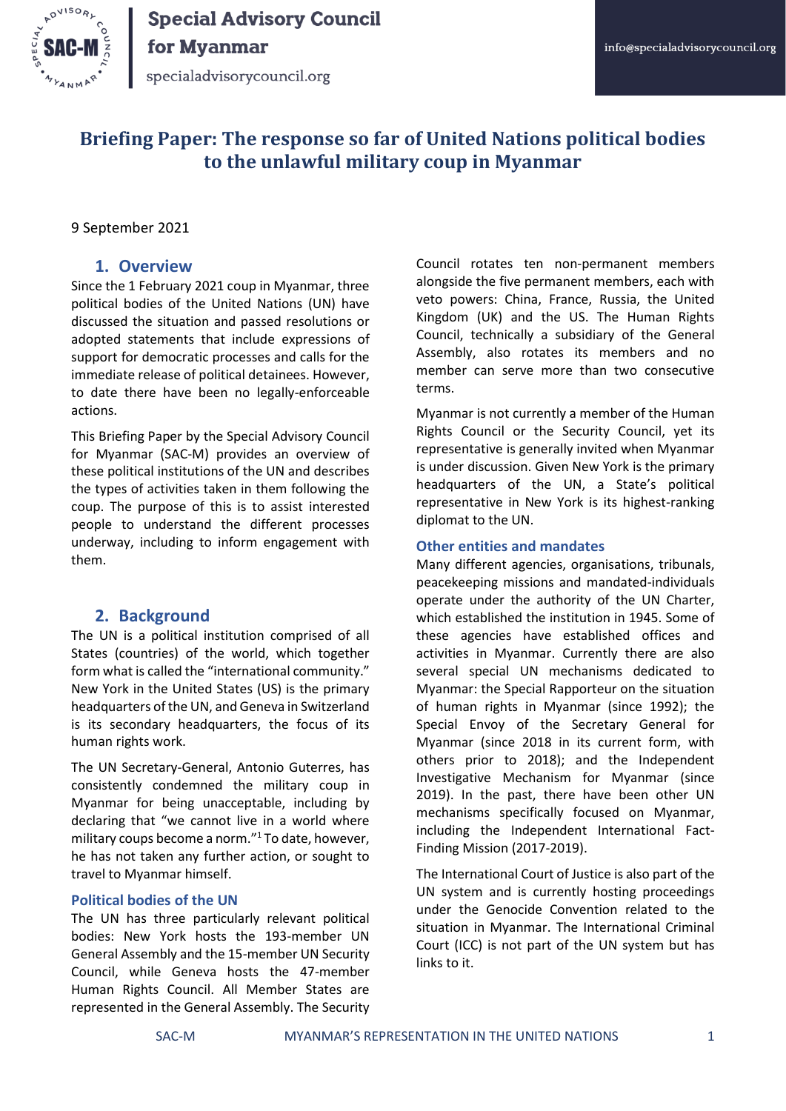

specialadvisorycouncil.org

### **Briefing Paper: The response so far of United Nations political bodies to the unlawful military coup in Myanmar**

#### 9 September 2021

#### **1. Overview**

Since the 1 February 2021 coup in Myanmar, three political bodies of the United Nations (UN) have discussed the situation and passed resolutions or adopted statements that include expressions of support for democratic processes and calls for the immediate release of political detainees. However, to date there have been no legally-enforceable actions.

This Briefing Paper by the Special Advisory Council for Myanmar (SAC-M) provides an overview of these political institutions of the UN and describes the types of activities taken in them following the coup. The purpose of this is to assist interested people to understand the different processes underway, including to inform engagement with them.

#### **2. Background**

The UN is a political institution comprised of all States (countries) of the world, which together form what is called the "international community." New York in the United States (US) is the primary headquarters of the UN, and Geneva in Switzerland is its secondary headquarters, the focus of its human rights work.

The UN Secretary-General, Antonio Guterres, has consistently condemned the military coup in Myanmar for being unacceptable, including by declaring that "we cannot live in a world where military coups become a norm."<sup>1</sup> To date, however, he has not taken any further action, or sought to travel to Myanmar himself.

#### **Political bodies of the UN**

The UN has three particularly relevant political bodies: New York hosts the 193-member UN General Assembly and the 15-member UN Security Council, while Geneva hosts the 47-member Human Rights Council. All Member States are represented in the General Assembly. The Security Council rotates ten non-permanent members alongside the five permanent members, each with veto powers: China, France, Russia, the United Kingdom (UK) and the US. The Human Rights Council, technically a subsidiary of the General Assembly, also rotates its members and no member can serve more than two consecutive terms.

Myanmar is not currently a member of the Human Rights Council or the Security Council, yet its representative is generally invited when Myanmar is under discussion. Given New York is the primary headquarters of the UN, a State's political representative in New York is its highest-ranking diplomat to the UN.

#### **Other entities and mandates**

Many different agencies, organisations, tribunals, peacekeeping missions and mandated-individuals operate under the authority of the UN Charter, which established the institution in 1945. Some of these agencies have established offices and activities in Myanmar. Currently there are also several special UN mechanisms dedicated to Myanmar: the Special Rapporteur on the situation of human rights in Myanmar (since 1992); the Special Envoy of the Secretary General for Myanmar (since 2018 in its current form, with others prior to 2018); and the Independent Investigative Mechanism for Myanmar (since 2019). In the past, there have been other UN mechanisms specifically focused on Myanmar, including the Independent International Fact-Finding Mission (2017-2019).

The International Court of Justice is also part of the UN system and is currently hosting proceedings under the Genocide Convention related to the situation in Myanmar. The International Criminal Court (ICC) is not part of the UN system but has links to it.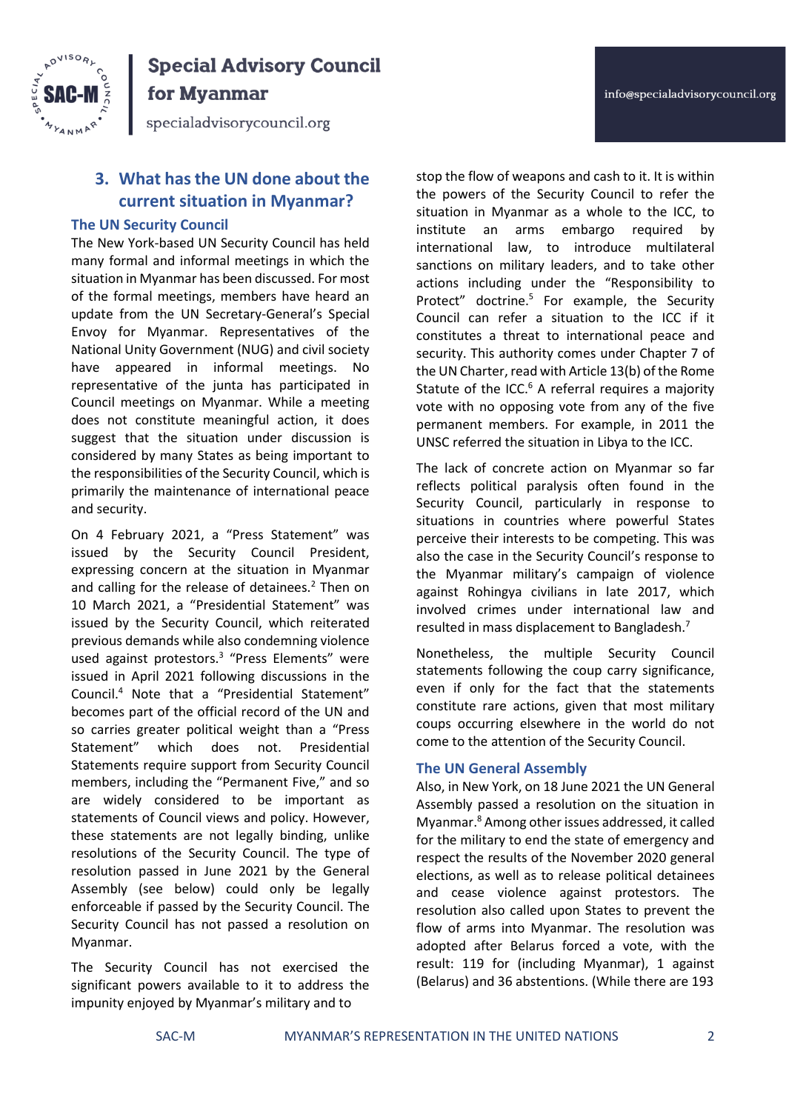

for Myanmar

specialadvisorycouncil.org

### **3. What has the UN done about the current situation in Myanmar?**

#### **The UN Security Council**

The New York-based UN Security Council has held many formal and informal meetings in which the situation in Myanmar has been discussed. For most of the formal meetings, members have heard an update from the UN Secretary-General's Special Envoy for Myanmar. Representatives of the National Unity Government (NUG) and civil society have appeared in informal meetings. No representative of the junta has participated in Council meetings on Myanmar. While a meeting does not constitute meaningful action, it does suggest that the situation under discussion is considered by many States as being important to the responsibilities of the Security Council, which is primarily the maintenance of international peace and security.

On 4 February 2021, a "Press Statement" was issued by the Security Council President, expressing concern at the situation in Myanmar and calling for the release of detainees.<sup>2</sup> Then on 10 March 2021, a "Presidential Statement" was issued by the Security Council, which reiterated previous demands while also condemning violence used against protestors.<sup>3</sup> "Press Elements" were issued in April 2021 following discussions in the Council.<sup>4</sup> Note that a "Presidential Statement" becomes part of the official record of the UN and so carries greater political weight than a "Press Statement" which does not. Presidential Statements require support from Security Council members, including the "Permanent Five," and so are widely considered to be important as statements of Council views and policy. However, these statements are not legally binding, unlike resolutions of the Security Council. The type of resolution passed in June 2021 by the General Assembly (see below) could only be legally enforceable if passed by the Security Council. The Security Council has not passed a resolution on Myanmar.

The Security Council has not exercised the significant powers available to it to address the impunity enjoyed by Myanmar's military and to

stop the flow of weapons and cash to it. It is within the powers of the Security Council to refer the situation in Myanmar as a whole to the ICC, to institute an arms embargo required by international law, to introduce multilateral sanctions on military leaders, and to take other actions including under the "Responsibility to Protect" doctrine.<sup>5</sup> For example, the Security Council can refer a situation to the ICC if it constitutes a threat to international peace and security. This authority comes under Chapter 7 of the UN Charter, read with Article 13(b) of the Rome Statute of the ICC. $6$  A referral requires a majority vote with no opposing vote from any of the five permanent members. For example, in 2011 the UNSC referred the situation in Libya to the ICC.

The lack of concrete action on Myanmar so far reflects political paralysis often found in the Security Council, particularly in response to situations in countries where powerful States perceive their interests to be competing. This was also the case in the Security Council's response to the Myanmar military's campaign of violence against Rohingya civilians in late 2017, which involved crimes under international law and resulted in mass displacement to Bangladesh.<sup>7</sup>

Nonetheless, the multiple Security Council statements following the coup carry significance, even if only for the fact that the statements constitute rare actions, given that most military coups occurring elsewhere in the world do not come to the attention of the Security Council.

#### **The UN General Assembly**

Also, in New York, on 18 June 2021 the UN General Assembly passed a resolution on the situation in Myanmar.<sup>8</sup> Among other issues addressed, it called for the military to end the state of emergency and respect the results of the November 2020 general elections, as well as to release political detainees and cease violence against protestors. The resolution also called upon States to prevent the flow of arms into Myanmar. The resolution was adopted after Belarus forced a vote, with the result: 119 for (including Myanmar), 1 against (Belarus) and 36 abstentions. (While there are 193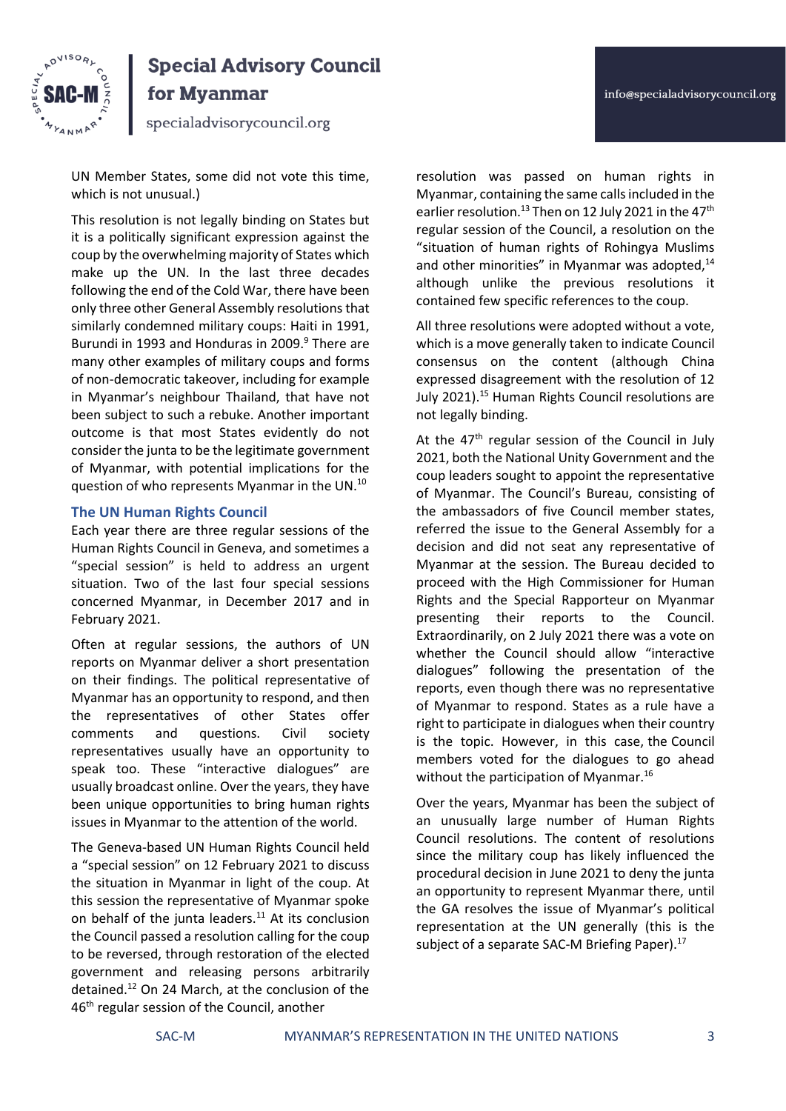

for Myanmar

specialadvisorycouncil.org

UN Member States, some did not vote this time, which is not unusual.)

This resolution is not legally binding on States but it is a politically significant expression against the coup by the overwhelming majority of States which make up the UN. In the last three decades following the end of the Cold War, there have been only three other General Assembly resolutions that similarly condemned military coups: Haiti in 1991, Burundi in 1993 and Honduras in 2009.<sup>9</sup> There are many other examples of military coups and forms of non-democratic takeover, including for example in Myanmar's neighbour Thailand, that have not been subject to such a rebuke. Another important outcome is that most States evidently do not consider the junta to be the legitimate government of Myanmar, with potential implications for the question of who represents Myanmar in the UN.<sup>10</sup>

#### **The UN Human Rights Council**

Each year there are three regular sessions of the Human Rights Council in Geneva, and sometimes a "special session" is held to address an urgent situation. Two of the last four special sessions concerned Myanmar, in December 2017 and in February 2021.

Often at regular sessions, the authors of UN reports on Myanmar deliver a short presentation on their findings. The political representative of Myanmar has an opportunity to respond, and then the representatives of other States offer comments and questions. Civil society representatives usually have an opportunity to speak too. These "interactive dialogues" are usually broadcast online. Over the years, they have been unique opportunities to bring human rights issues in Myanmar to the attention of the world.

The Geneva-based UN Human Rights Council held a "special session" on 12 February 2021 to discuss the situation in Myanmar in light of the coup. At this session the representative of Myanmar spoke on behalf of the junta leaders. $11$  At its conclusion the Council passed a resolution calling for the coup to be reversed, through restoration of the elected government and releasing persons arbitrarily detained.<sup>12</sup> On 24 March, at the conclusion of the 46<sup>th</sup> regular session of the Council, another

resolution was passed on human rights in Myanmar, containing the same calls included in the earlier resolution.<sup>13</sup> Then on 12 July 2021 in the 47<sup>th</sup> regular session of the Council, a resolution on the "situation of human rights of Rohingya Muslims and other minorities" in Myanmar was adopted,<sup>14</sup> although unlike the previous resolutions it contained few specific references to the coup.

All three resolutions were adopted without a vote, which is a move generally taken to indicate Council consensus on the content (although China expressed disagreement with the resolution of 12 July 2021).<sup>15</sup> Human Rights Council resolutions are not legally binding.

At the  $47<sup>th</sup>$  regular session of the Council in July 2021, both the National Unity Government and the coup leaders sought to appoint the representative of Myanmar. The Council's Bureau, consisting of the ambassadors of five Council member states, referred the issue to the General Assembly for a decision and did not seat any representative of Myanmar at the session. The Bureau decided to proceed with the High Commissioner for Human Rights and the Special Rapporteur on Myanmar presenting their reports to the Council. Extraordinarily, on 2 July 2021 there was a vote on whether the Council should allow "interactive dialogues" following the presentation of the reports, even though there was no representative of Myanmar to respond. States as a rule have a right to participate in dialogues when their country is the topic. However, in this case, the Council members voted for the dialogues to go ahead without the participation of Myanmar.<sup>16</sup>

Over the years, Myanmar has been the subject of an unusually large number of Human Rights Council resolutions. The content of resolutions since the military coup has likely influenced the procedural decision in June 2021 to deny the junta an opportunity to represent Myanmar there, until the GA resolves the issue of Myanmar's political representation at the UN generally (this is the subject of a separate SAC-M Briefing Paper).<sup>17</sup>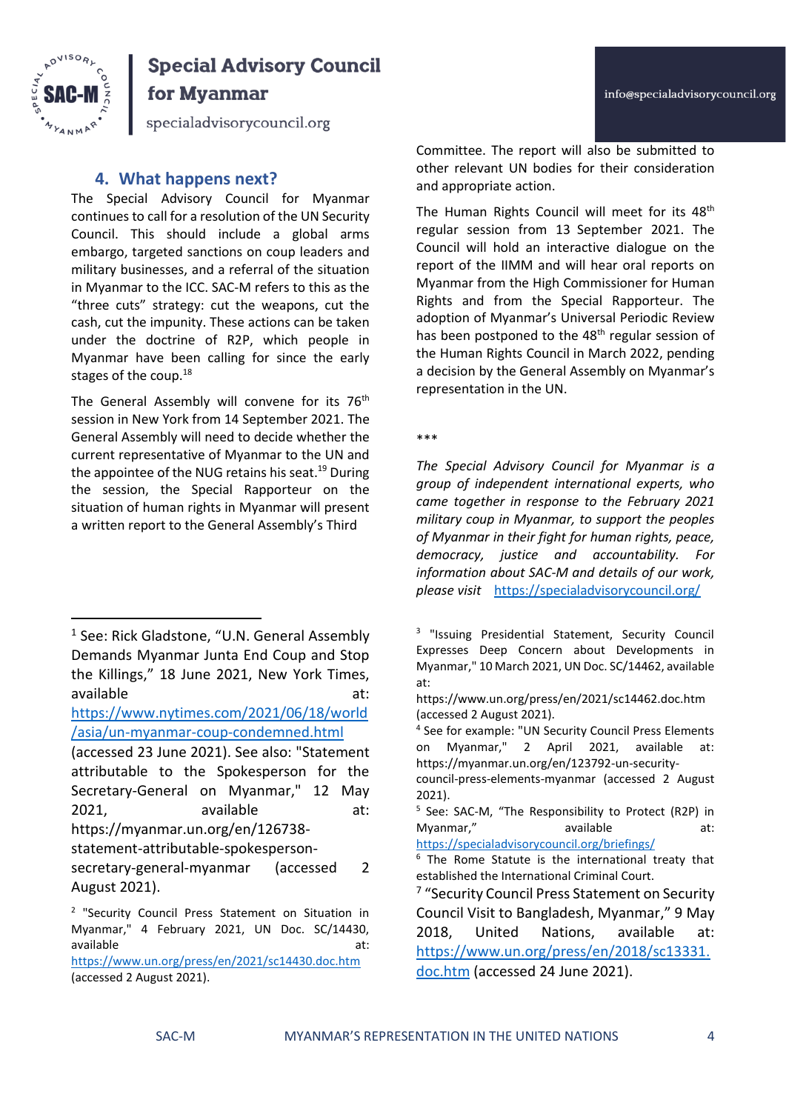



for Myanmar

specialadvisorycouncil.org

### **4. What happens next?**

The Special Advisory Council for Myanmar continues to call for a resolution of the UN Security Council. This should include a global arms embargo, targeted sanctions on coup leaders and military businesses, and a referral of the situation in Myanmar to the ICC. SAC-M refers to this as the "three cuts" strategy: cut the weapons, cut the cash, cut the impunity. These actions can be taken under the doctrine of R2P, which people in Myanmar have been calling for since the early stages of the coup.<sup>18</sup>

The General Assembly will convene for its 76<sup>th</sup> session in New York from 14 September 2021. The General Assembly will need to decide whether the current representative of Myanmar to the UN and the appointee of the NUG retains his seat.<sup>19</sup> During the session, the Special Rapporteur on the situation of human rights in Myanmar will present a written report to the General Assembly's Third

[https://www.nytimes.com/2021/06/18/world](https://www.nytimes.com/2021/06/18/world/asia/un-myanmar-coup-condemned.html) [/asia/un-myanmar-coup-condemned.html](https://www.nytimes.com/2021/06/18/world/asia/un-myanmar-coup-condemned.html)

<https://www.un.org/press/en/2021/sc14430.doc.htm> (accessed 2 August 2021).

Committee. The report will also be submitted to other relevant UN bodies for their consideration and appropriate action.

The Human Rights Council will meet for its 48<sup>th</sup> regular session from 13 September 2021. The Council will hold an interactive dialogue on the report of the IIMM and will hear oral reports on Myanmar from the High Commissioner for Human Rights and from the Special Rapporteur. The adoption of Myanmar's Universal Periodic Review has been postponed to the 48<sup>th</sup> regular session of the Human Rights Council in March 2022, pending a decision by the General Assembly on Myanmar's representation in the UN.

\*\*\*

*The Special Advisory Council for Myanmar is a group of independent international experts, who came together in response to the February 2021 military coup in Myanmar, to support the peoples of Myanmar in their fight for human rights, peace, democracy, justice and accountability. For information about SAC-M and details of our work, please visit* <https://specialadvisorycouncil.org/>

<sup>&</sup>lt;sup>1</sup> See: Rick Gladstone, "U.N. General Assembly Demands Myanmar Junta End Coup and Stop the Killings," 18 June 2021, New York Times, available at: and at:

<sup>(</sup>accessed 23 June 2021). See also: "Statement attributable to the Spokesperson for the Secretary-General on Myanmar," 12 May 2021, available at: https://myanmar.un.org/en/126738-

statement-attributable-spokespersonsecretary-general-myanmar (accessed 2

August 2021).

<sup>&</sup>lt;sup>2</sup> "Security Council Press Statement on Situation in Myanmar," 4 February 2021, UN Doc. SC/14430, available and a structure at:

<sup>&</sup>lt;sup>3</sup> "Issuing Presidential Statement, Security Council Expresses Deep Concern about Developments in Myanmar," 10 March 2021, UN Doc. SC/14462, available at:

https://www.un.org/press/en/2021/sc14462.doc.htm (accessed 2 August 2021).

<sup>4</sup> See for example: "UN Security Council Press Elements on Myanmar," 2 April 2021, available at: https://myanmar.un.org/en/123792-un-security-

council-press-elements-myanmar (accessed 2 August 2021).

<sup>&</sup>lt;sup>5</sup> See: SAC-M, "The Responsibility to Protect (R2P) in Myanmar," available at:

<https://specialadvisorycouncil.org/briefings/>

 $6$  The Rome Statute is the international treaty that established the International Criminal Court.

<sup>&</sup>lt;sup>7</sup> "Security Council Press Statement on Security Council Visit to Bangladesh, Myanmar," 9 May 2018, United Nations, available at: [https://www.un.org/press/en/2018/sc13331.](https://www.un.org/press/en/2018/sc13331.doc.htm) [doc.htm](https://www.un.org/press/en/2018/sc13331.doc.htm) (accessed 24 June 2021).